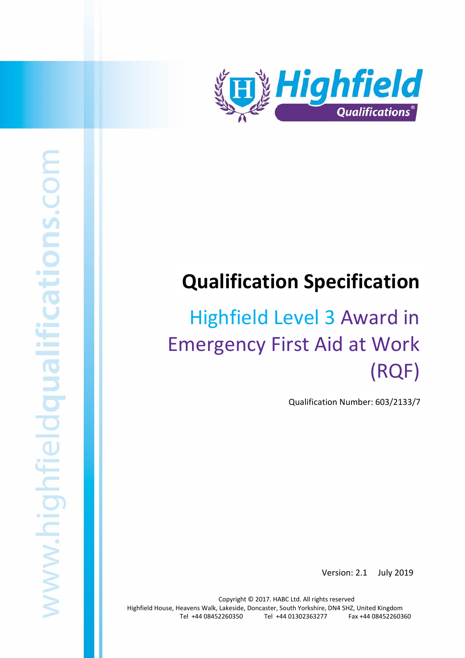

# **Qualification Specification**

# Highfield Level 3 Award in Emergency First Aid at Work (RQF)

Qualification Number: 603/2133/7

Version: 2.1 July 2019

Copyright © 2017. HABC Ltd. All rights reserved Highfield House, Heavens Walk, Lakeside, Doncaster, South Yorkshire, DN4 5HZ, United Kingdom Tel +44 08452260350 Tel +44 01302363277 Fax +44 08452260360

Highfield Level 3 Award in Emergency First Aid at Work (RQF) 1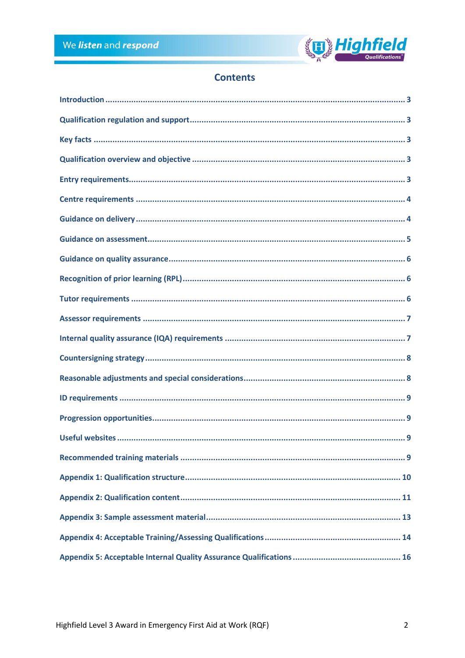

# **Contents**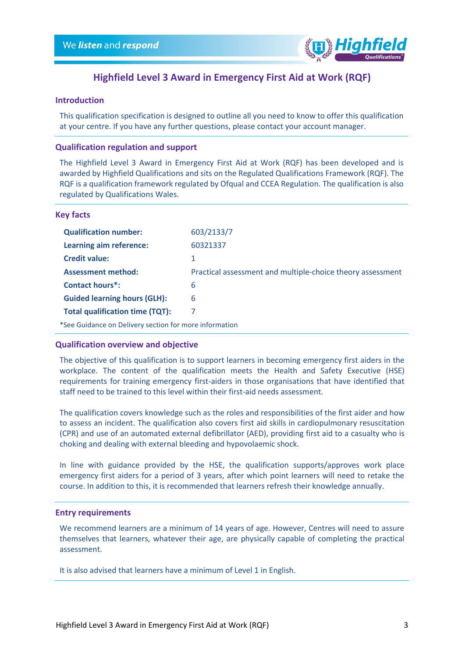

# **Highfield Level 3 Award in Emergency First Aid at Work (RQF)**

#### <span id="page-2-0"></span>**Introduction**

This qualification specification is designed to outline all you need to know to offer this qualification at your centre. If you have any further questions, please contact your account manager.

#### <span id="page-2-1"></span>**Qualification regulation and support**

The Highfield Level 3 Award in Emergency First Aid at Work (RQF) has been developed and is awarded by Highfield Qualifications and sits on the Regulated Qualifications Framework (RQF). The RQF is a qualification framework regulated by Ofqual and CCEA Regulation. The qualification is also regulated by Qualifications Wales.

#### <span id="page-2-2"></span>**Key facts**

| <b>Qualification number:</b>                           | 603/2133/7                                                 |
|--------------------------------------------------------|------------------------------------------------------------|
| Learning aim reference:                                | 60321337                                                   |
| <b>Credit value:</b>                                   |                                                            |
| <b>Assessment method:</b>                              | Practical assessment and multiple-choice theory assessment |
| <b>Contact hours*:</b>                                 | 6                                                          |
| <b>Guided learning hours (GLH):</b>                    | 6                                                          |
| <b>Total qualification time (TQT):</b>                 | 7                                                          |
| *See Guidance on Delivery section for more information |                                                            |

#### <span id="page-2-3"></span>**Qualification overview and objective**

The objective of this qualification is to support learners in becoming emergency first aiders in the workplace. The content of the qualification meets the Health and Safety Executive (HSE) requirements for training emergency first-aiders in those organisations that have identified that staff need to be trained to this level within their first-aid needs assessment.

The qualification covers knowledge such as the roles and responsibilities of the first aider and how to assess an incident. The qualification also covers first aid skills in cardiopulmonary resuscitation (CPR) and use of an automated external defibrillator (AED), providing first aid to a casualty who is choking and dealing with external bleeding and hypovolaemic shock.

In line with guidance provided by the HSE, the qualification supports/approves work place emergency first aiders for a period of 3 years, after which point learners will need to retake the course. In addition to this, it is recommended that learners refresh their knowledge annually.

#### <span id="page-2-4"></span>**Entry requirements**

We recommend learners are a minimum of 14 years of age. However, Centres will need to assure themselves that learners, whatever their age, are physically capable of completing the practical assessment.

It is also advised that learners have a minimum of Level 1 in English.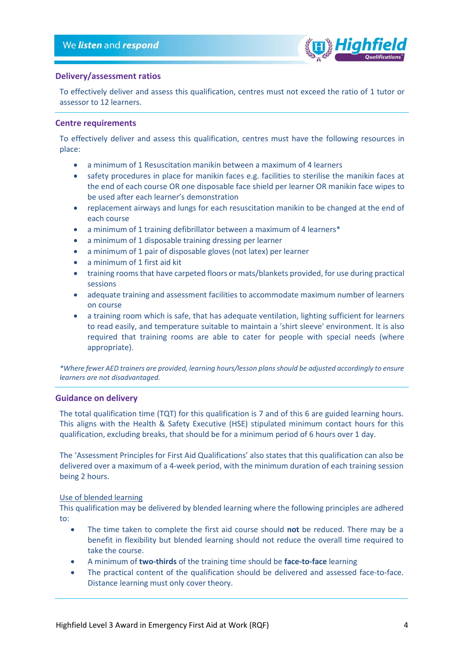

#### **Delivery/assessment ratios**

To effectively deliver and assess this qualification, centres must not exceed the ratio of 1 tutor or assessor to 12 learners.

#### <span id="page-3-0"></span>**Centre requirements**

To effectively deliver and assess this qualification, centres must have the following resources in place:

- a minimum of 1 Resuscitation manikin between a maximum of 4 learners
- safety procedures in place for manikin faces e.g. facilities to sterilise the manikin faces at the end of each course OR one disposable face shield per learner OR manikin face wipes to be used after each learner's demonstration
- replacement airways and lungs for each resuscitation manikin to be changed at the end of each course
- a minimum of 1 training defibrillator between a maximum of 4 learners\*
- a minimum of 1 disposable training dressing per learner
- a minimum of 1 pair of disposable gloves (not latex) per learner
- a minimum of 1 first aid kit
- training rooms that have carpeted floors or mats/blankets provided, for use during practical sessions
- adequate training and assessment facilities to accommodate maximum number of learners on course
- a training room which is safe, that has adequate ventilation, lighting sufficient for learners to read easily, and temperature suitable to maintain a 'shirt sleeve' environment. It is also required that training rooms are able to cater for people with special needs (where appropriate).

*\*Where fewer AED trainers are provided, learning hours/lesson plans should be adjusted accordingly to ensure learners are not disadvantaged.*

#### <span id="page-3-1"></span>**Guidance on delivery**

The total qualification time (TQT) for this qualification is 7 and of this 6 are guided learning hours. This aligns with the Health & Safety Executive (HSE) stipulated minimum contact hours for this qualification, excluding breaks, that should be for a minimum period of 6 hours over 1 day.

The 'Assessment Principles for First Aid Qualifications' also states that this qualification can also be delivered over a maximum of a 4-week period, with the minimum duration of each training session being 2 hours.

#### Use of blended learning

This qualification may be delivered by blended learning where the following principles are adhered to:

- The time taken to complete the first aid course should **not** be reduced. There may be a benefit in flexibility but blended learning should not reduce the overall time required to take the course.
- A minimum of **two-thirds** of the training time should be **face-to-face** learning
- The practical content of the qualification should be delivered and assessed face-to-face. Distance learning must only cover theory.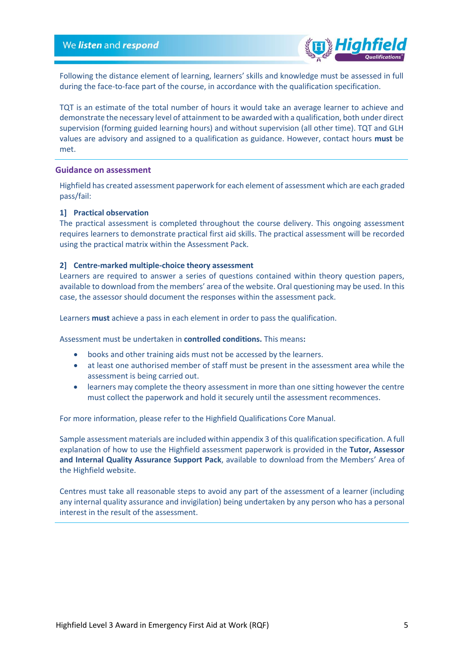

Following the distance element of learning, learners' skills and knowledge must be assessed in full during the face-to-face part of the course, in accordance with the qualification specification.

TQT is an estimate of the total number of hours it would take an average learner to achieve and demonstrate the necessary level of attainment to be awarded with a qualification, both under direct supervision (forming guided learning hours) and without supervision (all other time). TQT and GLH values are advisory and assigned to a qualification as guidance. However, contact hours **must** be met.

#### <span id="page-4-0"></span>**Guidance on assessment**

Highfield has created assessment paperwork for each element of assessment which are each graded pass/fail:

#### **1] Practical observation**

The practical assessment is completed throughout the course delivery. This ongoing assessment requires learners to demonstrate practical first aid skills. The practical assessment will be recorded using the practical matrix within the Assessment Pack.

#### **2] Centre-marked multiple-choice theory assessment**

Learners are required to answer a series of questions contained within theory question papers, available to download from the members' area of the website. Oral questioning may be used. In this case, the assessor should document the responses within the assessment pack.

Learners **must** achieve a pass in each element in order to pass the qualification.

Assessment must be undertaken in **controlled conditions.** This means**:**

- books and other training aids must not be accessed by the learners.
- at least one authorised member of staff must be present in the assessment area while the assessment is being carried out.
- learners may complete the theory assessment in more than one sitting however the centre must collect the paperwork and hold it securely until the assessment recommences.

For more information, please refer to the Highfield Qualifications Core Manual.

Sample assessment materials are included within appendix 3 of this qualification specification. A full explanation of how to use the Highfield assessment paperwork is provided in the **Tutor, Assessor and Internal Quality Assurance Support Pack**, available to download from the Members' Area of the Highfield website.

<span id="page-4-1"></span>Centres must take all reasonable steps to avoid any part of the assessment of a learner (including any internal quality assurance and invigilation) being undertaken by any person who has a personal interest in the result of the assessment.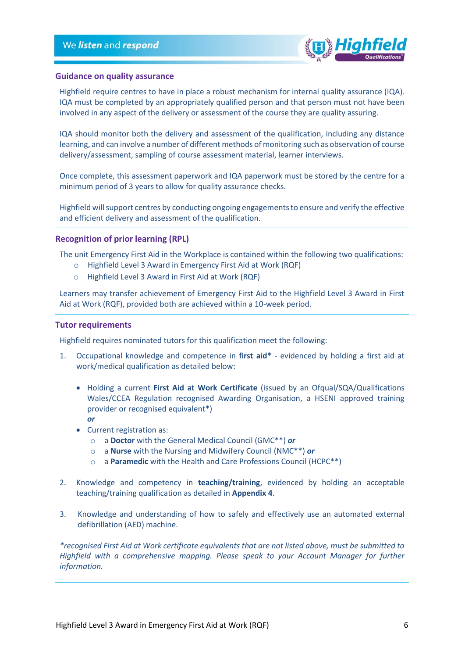

#### **Guidance on quality assurance**

Highfield require centres to have in place a robust mechanism for internal quality assurance (IQA). IQA must be completed by an appropriately qualified person and that person must not have been involved in any aspect of the delivery or assessment of the course they are quality assuring.

IQA should monitor both the delivery and assessment of the qualification, including any distance learning, and can involve a number of different methods of monitoring such as observation of course delivery/assessment, sampling of course assessment material, learner interviews.

Once complete, this assessment paperwork and IQA paperwork must be stored by the centre for a minimum period of 3 years to allow for quality assurance checks.

Highfield will support centres by conducting ongoing engagements to ensure and verify the effective and efficient delivery and assessment of the qualification.

#### <span id="page-5-0"></span>**Recognition of prior learning (RPL)**

The unit Emergency First Aid in the Workplace is contained within the following two qualifications:

- o Highfield Level 3 Award in Emergency First Aid at Work (RQF)
- o Highfield Level 3 Award in First Aid at Work (RQF)

Learners may transfer achievement of Emergency First Aid to the Highfield Level 3 Award in First Aid at Work (RQF), provided both are achieved within a 10-week period.

#### <span id="page-5-1"></span>**Tutor requirements**

Highfield requires nominated tutors for this qualification meet the following:

- 1. Occupational knowledge and competence in **first aid\*** evidenced by holding a first aid at work/medical qualification as detailed below:
	- Holding a current **First Aid at Work Certificate** (issued by an Ofqual/SQA/Qualifications Wales/CCEA Regulation recognised Awarding Organisation, a HSENI approved training provider or recognised equivalent\*) *or*
	- Current registration as:
		- o a **Doctor** with the General Medical Council (GMC\*\*) *or*
		- o a **Nurse** with the Nursing and Midwifery Council (NMC\*\*) *or*
		- o a **Paramedic** with the Health and Care Professions Council (HCPC\*\*)
- 2. Knowledge and competency in **teaching/training**, evidenced by holding an acceptable teaching/training qualification as detailed in **Appendix 4**.
- 3. Knowledge and understanding of how to safely and effectively use an automated external defibrillation (AED) machine.

*\*recognised First Aid at Work certificate equivalents that are not listed above, must be submitted to Highfield with a comprehensive mapping. Please speak to your Account Manager for further information.*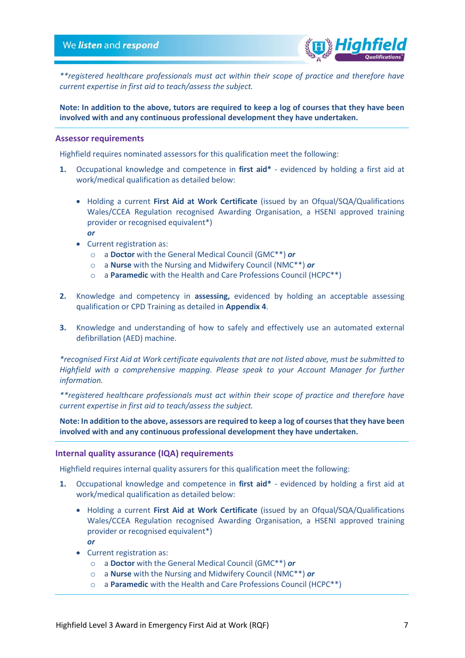

*\*\*registered healthcare professionals must act within their scope of practice and therefore have current expertise in first aid to teach/assess the subject.*

**Note: In addition to the above, tutors are required to keep a log of courses that they have been involved with and any continuous professional development they have undertaken.**

#### <span id="page-6-0"></span>**Assessor requirements**

Highfield requires nominated assessors for this qualification meet the following:

- **1.** Occupational knowledge and competence in **first aid\*** evidenced by holding a first aid at work/medical qualification as detailed below:
	- Holding a current **First Aid at Work Certificate** (issued by an Ofqual/SQA/Qualifications Wales/CCEA Regulation recognised Awarding Organisation, a HSENI approved training provider or recognised equivalent\*) *or*
	- Current registration as:
		- o a **Doctor** with the General Medical Council (GMC\*\*) *or*
		- o a **Nurse** with the Nursing and Midwifery Council (NMC\*\*) *or*
		- o a **Paramedic** with the Health and Care Professions Council (HCPC\*\*)
- **2.** Knowledge and competency in **assessing,** evidenced by holding an acceptable assessing qualification or CPD Training as detailed in **Appendix 4**.
- **3.** Knowledge and understanding of how to safely and effectively use an automated external defibrillation (AED) machine.

*\*recognised First Aid at Work certificate equivalents that are not listed above, must be submitted to Highfield with a comprehensive mapping. Please speak to your Account Manager for further information.*

*\*\*registered healthcare professionals must act within their scope of practice and therefore have current expertise in first aid to teach/assess the subject.*

**Note: In addition to the above, assessors are required to keep a log of courses that they have been involved with and any continuous professional development they have undertaken.**

#### <span id="page-6-1"></span>**Internal quality assurance (IQA) requirements**

Highfield requires internal quality assurers for this qualification meet the following:

- **1.** Occupational knowledge and competence in **first aid\*** evidenced by holding a first aid at work/medical qualification as detailed below:
	- Holding a current **First Aid at Work Certificate** (issued by an Ofqual/SQA/Qualifications Wales/CCEA Regulation recognised Awarding Organisation, a HSENI approved training provider or recognised equivalent\*) *or*
	- Current registration as:
		- o a **Doctor** with the General Medical Council (GMC\*\*) *or*
		- o a **Nurse** with the Nursing and Midwifery Council (NMC\*\*) *or*
		- o a **Paramedic** with the Health and Care Professions Council (HCPC\*\*)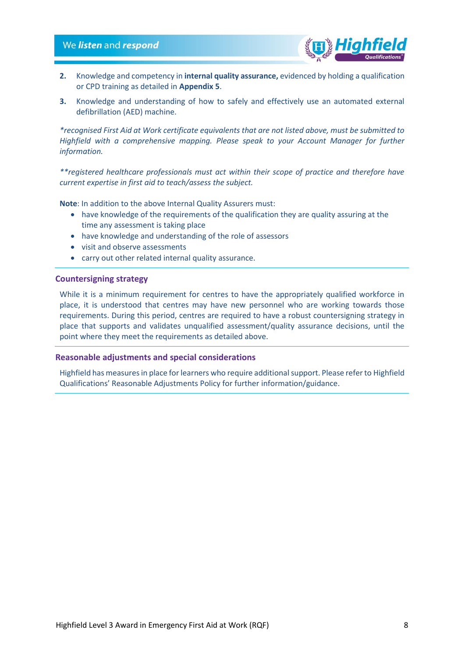#### We listen and respond



- **2.** Knowledge and competency in **internal quality assurance,** evidenced by holding a qualification or CPD training as detailed in **Appendix 5**.
- **3.** Knowledge and understanding of how to safely and effectively use an automated external defibrillation (AED) machine.

*\*recognised First Aid at Work certificate equivalents that are not listed above, must be submitted to Highfield with a comprehensive mapping. Please speak to your Account Manager for further information.*

*\*\*registered healthcare professionals must act within their scope of practice and therefore have current expertise in first aid to teach/assess the subject.*

**Note**: In addition to the above Internal Quality Assurers must:

- have knowledge of the requirements of the qualification they are quality assuring at the time any assessment is taking place
- have knowledge and understanding of the role of assessors
- visit and observe assessments
- carry out other related internal quality assurance.

#### <span id="page-7-0"></span>**Countersigning strategy**

While it is a minimum requirement for centres to have the appropriately qualified workforce in place, it is understood that centres may have new personnel who are working towards those requirements. During this period, centres are required to have a robust countersigning strategy in place that supports and validates unqualified assessment/quality assurance decisions, until the point where they meet the requirements as detailed above.

#### <span id="page-7-1"></span>**Reasonable adjustments and special considerations**

<span id="page-7-2"></span>Highfield has measures in place for learners who require additional support. Please refer to Highfield Qualifications' Reasonable Adjustments Policy for further information/guidance.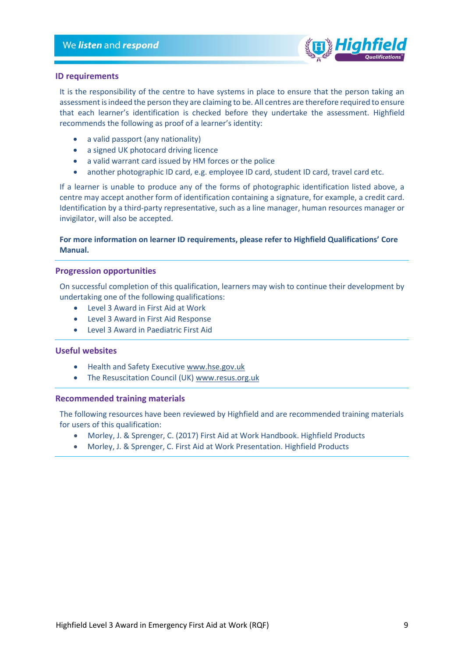

#### **ID requirements**

It is the responsibility of the centre to have systems in place to ensure that the person taking an assessment is indeed the person they are claiming to be. All centres are therefore required to ensure that each learner's identification is checked before they undertake the assessment. Highfield recommends the following as proof of a learner's identity:

- a valid passport (any nationality)
- a signed UK photocard driving licence
- a valid warrant card issued by HM forces or the police
- another photographic ID card, e.g. employee ID card, student ID card, travel card etc.

If a learner is unable to produce any of the forms of photographic identification listed above, a centre may accept another form of identification containing a signature, for example, a credit card. Identification by a third-party representative, such as a line manager, human resources manager or invigilator, will also be accepted.

#### **For more information on learner ID requirements, please refer to Highfield Qualifications' Core Manual.**

#### <span id="page-8-0"></span>**Progression opportunities**

On successful completion of this qualification, learners may wish to continue their development by undertaking one of the following qualifications:

- Level 3 Award in First Aid at Work
- Level 3 Award in First Aid Response
- Level 3 Award in Paediatric First Aid

#### <span id="page-8-1"></span>**Useful websites**

- Health and Safety Executive [www.hse.gov.uk](file://///slartibartfast/Datafiles/Departments/Awarding%20Body/HABC_Qualifications/1%5d%20Qualification%20Development/2%5d%20Qualifications/2%5d%20SCQF/SCQF%20L5%20EFAW/www.hse.gov.uk)
- The Resuscitation Council (UK[\) www.resus.org.uk](file://///slartibartfast/Datafiles/Departments/Awarding%20Body/HABC_Qualifications/1%5d%20Qualification%20Development/2%5d%20Qualifications/2%5d%20SCQF/SCQF%20L5%20EFAW/www.resus.org.uk)

#### <span id="page-8-2"></span>**Recommended training materials**

The following resources have been reviewed by Highfield and are recommended training materials for users of this qualification:

- Morley, J. & Sprenger, C. (2017) First Aid at Work Handbook. Highfield Products
- Morley, J. & Sprenger, C. First Aid at Work Presentation. Highfield Products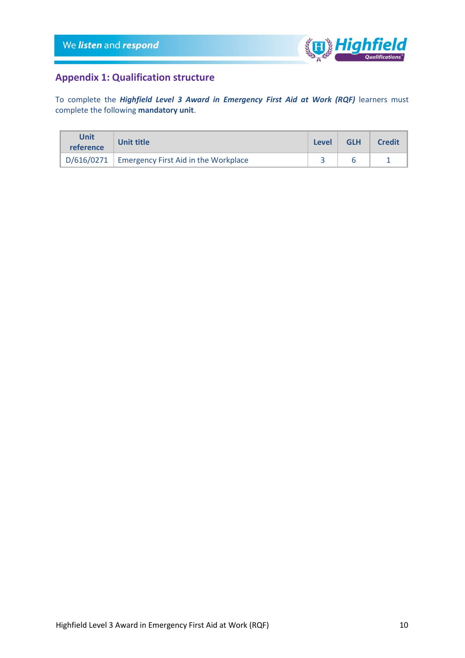

## <span id="page-9-0"></span>**Appendix 1: Qualification structure**

To complete the *Highfield Level 3 Award in Emergency First Aid at Work (RQF)* learners must complete the following **mandatory unit**.

| Unit<br>reference | <b>Unit title</b>                                 | Level | <b>GLH</b> | <b>Credit</b> |
|-------------------|---------------------------------------------------|-------|------------|---------------|
|                   | $D/616/0271$ Emergency First Aid in the Workplace |       |            |               |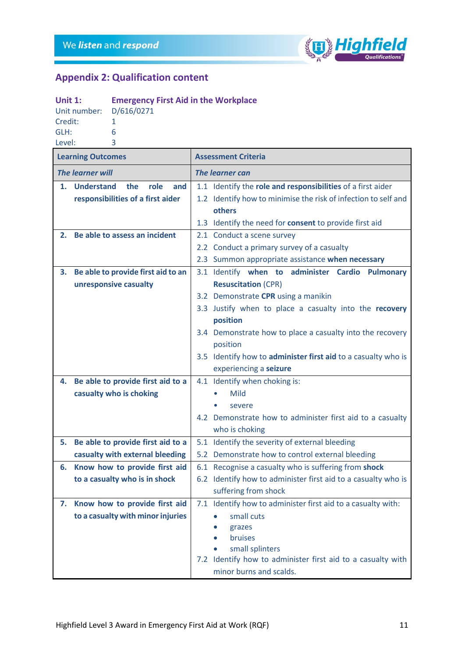

# <span id="page-10-0"></span>**Appendix 2: Qualification content**

| Unit $1$ :              | <b>Emergency First Aid in the Workplace</b> |
|-------------------------|---------------------------------------------|
| Unit number: D/616/0271 |                                             |
| Credit:                 |                                             |
| GLH:                    | 6                                           |
| Level:                  | ₹                                           |

| <b>Learning Outcomes</b> |                                         |                                                               | <b>Assessment Criteria</b>                                                     |  |  |  |  |
|--------------------------|-----------------------------------------|---------------------------------------------------------------|--------------------------------------------------------------------------------|--|--|--|--|
|                          | <b>The learner will</b>                 |                                                               | The learner can                                                                |  |  |  |  |
| 1.                       | <b>Understand</b><br>the<br>role<br>and |                                                               | 1.1 Identify the role and responsibilities of a first aider                    |  |  |  |  |
|                          | responsibilities of a first aider       |                                                               | 1.2 Identify how to minimise the risk of infection to self and                 |  |  |  |  |
|                          |                                         |                                                               | others                                                                         |  |  |  |  |
|                          |                                         | 1.3 Identify the need for consent to provide first aid        |                                                                                |  |  |  |  |
| 2.                       | Be able to assess an incident           |                                                               | 2.1 Conduct a scene survey                                                     |  |  |  |  |
|                          |                                         |                                                               | 2.2 Conduct a primary survey of a casualty                                     |  |  |  |  |
|                          |                                         |                                                               | 2.3 Summon appropriate assistance when necessary                               |  |  |  |  |
| 3.                       | Be able to provide first aid to an      |                                                               | 3.1 Identify when to administer Cardio<br><b>Pulmonary</b>                     |  |  |  |  |
|                          | unresponsive casualty                   |                                                               | <b>Resuscitation (CPR)</b>                                                     |  |  |  |  |
|                          |                                         |                                                               | 3.2 Demonstrate CPR using a manikin                                            |  |  |  |  |
|                          |                                         |                                                               | 3.3 Justify when to place a casualty into the recovery                         |  |  |  |  |
|                          |                                         |                                                               | position                                                                       |  |  |  |  |
|                          |                                         |                                                               | 3.4 Demonstrate how to place a casualty into the recovery                      |  |  |  |  |
|                          |                                         | position                                                      |                                                                                |  |  |  |  |
|                          |                                         | 3.5 Identify how to administer first aid to a casualty who is |                                                                                |  |  |  |  |
|                          |                                         | experiencing a seizure                                        |                                                                                |  |  |  |  |
| 4.                       | Be able to provide first aid to a       |                                                               | 4.1 Identify when choking is:                                                  |  |  |  |  |
|                          | casualty who is choking                 |                                                               | Mild                                                                           |  |  |  |  |
|                          |                                         |                                                               | severe                                                                         |  |  |  |  |
|                          |                                         |                                                               | 4.2 Demonstrate how to administer first aid to a casualty                      |  |  |  |  |
|                          |                                         |                                                               | who is choking                                                                 |  |  |  |  |
| 5.                       | Be able to provide first aid to a       |                                                               | 5.1 Identify the severity of external bleeding                                 |  |  |  |  |
|                          | casualty with external bleeding         |                                                               | 5.2 Demonstrate how to control external bleeding                               |  |  |  |  |
| 6.                       | Know how to provide first aid           |                                                               | 6.1 Recognise a casualty who is suffering from shock                           |  |  |  |  |
|                          | to a casualty who is in shock           |                                                               | 6.2 Identify how to administer first aid to a casualty who is                  |  |  |  |  |
|                          |                                         |                                                               | suffering from shock                                                           |  |  |  |  |
| 7.                       | Know how to provide first aid           |                                                               | 7.1 Identify how to administer first aid to a casualty with:                   |  |  |  |  |
|                          | to a casualty with minor injuries       |                                                               | small cuts                                                                     |  |  |  |  |
|                          |                                         |                                                               | grazes                                                                         |  |  |  |  |
|                          |                                         |                                                               | bruises                                                                        |  |  |  |  |
|                          |                                         |                                                               | small splinters<br>7.2 Identify how to administer first aid to a casualty with |  |  |  |  |
|                          |                                         |                                                               | minor burns and scalds.                                                        |  |  |  |  |
|                          |                                         |                                                               |                                                                                |  |  |  |  |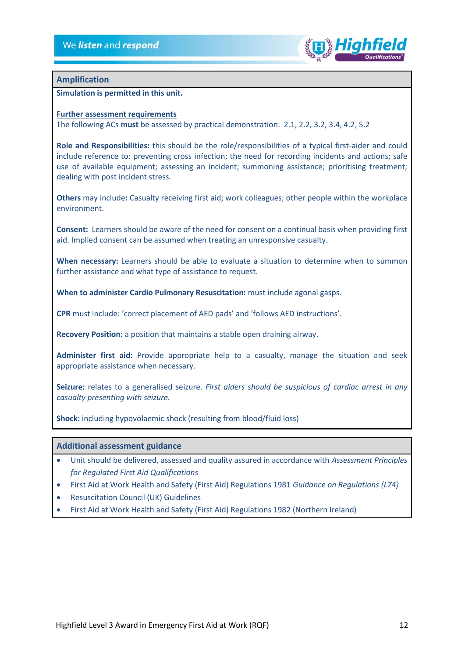

#### **Amplification**

**Simulation is permitted in this unit.** 

#### **Further assessment requirements**

The following ACs **must** be assessed by practical demonstration: 2.1, 2.2, 3.2, 3.4, 4.2, 5.2

**Role and Responsibilities:** this should be the role/responsibilities of a typical first-aider and could include reference to: preventing cross infection; the need for recording incidents and actions; safe use of available equipment; assessing an incident; summoning assistance; prioritising treatment; dealing with post incident stress.

**Others** may include**:** Casualty receiving first aid; work colleagues; other people within the workplace environment.

**Consent:** Learners should be aware of the need for consent on a continual basis when providing first aid. Implied consent can be assumed when treating an unresponsive casualty.

**When necessary:** Learners should be able to evaluate a situation to determine when to summon further assistance and what type of assistance to request.

**When to administer Cardio Pulmonary Resuscitation:** must include agonal gasps.

**CPR** must include: 'correct placement of AED pads' and 'follows AED instructions'.

**Recovery Position:** a position that maintains a stable open draining airway.

**Administer first aid:** Provide appropriate help to a casualty, manage the situation and seek appropriate assistance when necessary.

**Seizure:** relates to a generalised seizure. *First aiders should be suspicious of cardiac arrest in any casualty presenting with seizure.*

**Shock:** including hypovolaemic shock (resulting from blood/fluid loss)

#### **Additional assessment guidance**

- Unit should be delivered, assessed and quality assured in accordance with *Assessment Principles for Regulated First Aid Qualifications*
- First Aid at Work Health and Safety (First Aid) Regulations 1981 *Guidance on Regulations (L74)*
- Resuscitation Council (UK) Guidelines
- <span id="page-11-0"></span>• First Aid at Work Health and Safety (First Aid) Regulations 1982 (Northern Ireland)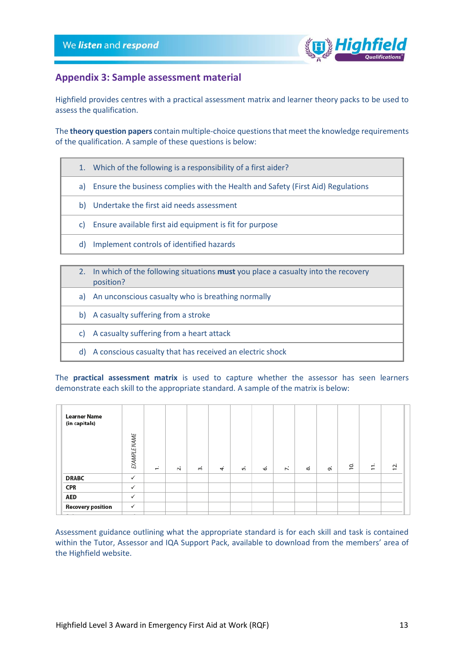

### **Appendix 3: Sample assessment material**

Highfield provides centres with a practical assessment matrix and learner theory packs to be used to assess the qualification.

The **theory question papers** contain multiple-choice questions that meet the knowledge requirements of the qualification. A sample of these questions is below:

- 1. Which of the following is a responsibility of a first aider?
- a) Ensure the business complies with the Health and Safety (First Aid) Regulations
- b) Undertake the first aid needs assessment
- c) Ensure available first aid equipment is fit for purpose
- d) Implement controls of identified hazards
- 2. In which of the following situations **must** you place a casualty into the recovery position?
	- a) An unconscious casualty who is breathing normally
- b) A casualty suffering from a stroke
- c) A casualty suffering from a heart attack
- d) A conscious casualty that has received an electric shock

The **practical assessment matrix** is used to capture whether the assessor has seen learners demonstrate each skill to the appropriate standard. A sample of the matrix is below:

| <b>Learner Name</b><br>(in capitals) |                     |              |        |           |           |    |    |    |    |    |                |                                                      |     |
|--------------------------------------|---------------------|--------------|--------|-----------|-----------|----|----|----|----|----|----------------|------------------------------------------------------|-----|
|                                      | <b>EXAMPLE NAME</b> | $\leftarrow$ | $\sim$ | $\vec{m}$ | $\vec{r}$ | ທ່ | 6. | 7. | ထံ | oi | $\overline{0}$ | $\mathbf{r}$<br>$\overline{\phantom{m}}$<br>$\equiv$ | 12. |
| <b>DRABC</b>                         | $\checkmark$        |              |        |           |           |    |    |    |    |    |                |                                                      |     |
| <b>CPR</b>                           | $\checkmark$        |              |        |           |           |    |    |    |    |    |                |                                                      |     |
| <b>AED</b>                           | $\checkmark$        |              |        |           |           |    |    |    |    |    |                |                                                      |     |
| <b>Recovery position</b>             | $\checkmark$        |              |        |           |           |    |    |    |    |    |                |                                                      |     |
|                                      |                     |              |        |           |           |    |    |    |    |    |                |                                                      |     |

Assessment guidance outlining what the appropriate standard is for each skill and task is contained within the Tutor, Assessor and IQA Support Pack, available to download from the members' area of the Highfield website.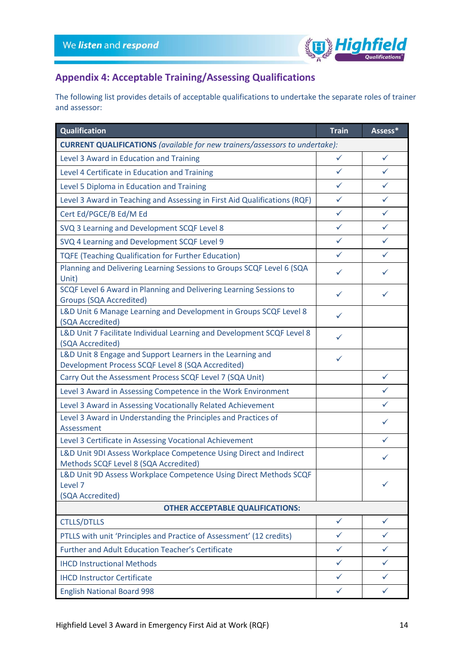

# <span id="page-13-0"></span>**Appendix 4: Acceptable Training/Assessing Qualifications**

The following list provides details of acceptable qualifications to undertake the separate roles of trainer and assessor:

| Qualification                                                                                                   | <b>Train</b> | Assess*      |  |  |  |
|-----------------------------------------------------------------------------------------------------------------|--------------|--------------|--|--|--|
| <b>CURRENT QUALIFICATIONS</b> (available for new trainers/assessors to undertake):                              |              |              |  |  |  |
| Level 3 Award in Education and Training                                                                         | $\checkmark$ | ✓            |  |  |  |
| Level 4 Certificate in Education and Training                                                                   | ✓            | ✓            |  |  |  |
| Level 5 Diploma in Education and Training                                                                       | $\checkmark$ | ✓            |  |  |  |
| Level 3 Award in Teaching and Assessing in First Aid Qualifications (RQF)                                       | $\checkmark$ | ✓            |  |  |  |
| Cert Ed/PGCE/B Ed/M Ed                                                                                          | $\checkmark$ | ✓            |  |  |  |
| SVQ 3 Learning and Development SCQF Level 8                                                                     | $\checkmark$ | ✓            |  |  |  |
| SVQ 4 Learning and Development SCQF Level 9                                                                     | $\checkmark$ | $\checkmark$ |  |  |  |
| <b>TQFE (Teaching Qualification for Further Education)</b>                                                      | ✓            | ✓            |  |  |  |
| Planning and Delivering Learning Sessions to Groups SCQF Level 6 (SQA<br>Unit)                                  | ✓            | ✓            |  |  |  |
| SCQF Level 6 Award in Planning and Delivering Learning Sessions to<br><b>Groups (SQA Accredited)</b>            | ✓            | ✓            |  |  |  |
| L&D Unit 6 Manage Learning and Development in Groups SCQF Level 8<br>(SQA Accredited)                           | ✓            |              |  |  |  |
| L&D Unit 7 Facilitate Individual Learning and Development SCQF Level 8<br>(SQA Accredited)                      | ✓            |              |  |  |  |
| L&D Unit 8 Engage and Support Learners in the Learning and<br>Development Process SCQF Level 8 (SQA Accredited) | ✓            |              |  |  |  |
| Carry Out the Assessment Process SCQF Level 7 (SQA Unit)                                                        |              | ✓            |  |  |  |
| Level 3 Award in Assessing Competence in the Work Environment                                                   |              | ✓            |  |  |  |
| Level 3 Award in Assessing Vocationally Related Achievement                                                     |              | ✓            |  |  |  |
| Level 3 Award in Understanding the Principles and Practices of<br>Assessment                                    |              | ✓            |  |  |  |
| Level 3 Certificate in Assessing Vocational Achievement                                                         |              | ✓            |  |  |  |
| L&D Unit 9DI Assess Workplace Competence Using Direct and Indirect<br>Methods SCQF Level 8 (SQA Accredited)     |              | ✓            |  |  |  |
| L&D Unit 9D Assess Workplace Competence Using Direct Methods SCQF<br>Level 7<br>(SQA Accredited)                |              | ✓            |  |  |  |
| <b>OTHER ACCEPTABLE QUALIFICATIONS:</b>                                                                         |              |              |  |  |  |
| <b>CTLLS/DTLLS</b>                                                                                              | $\checkmark$ | $\checkmark$ |  |  |  |
| PTLLS with unit 'Principles and Practice of Assessment' (12 credits)                                            | ✓            | ✓            |  |  |  |
| <b>Further and Adult Education Teacher's Certificate</b>                                                        | $\checkmark$ | ✓            |  |  |  |
| <b>IHCD Instructional Methods</b>                                                                               | $\checkmark$ | ✓            |  |  |  |
| <b>IHCD Instructor Certificate</b>                                                                              | $\checkmark$ | ✓            |  |  |  |
| <b>English National Board 998</b>                                                                               | $\checkmark$ | $\checkmark$ |  |  |  |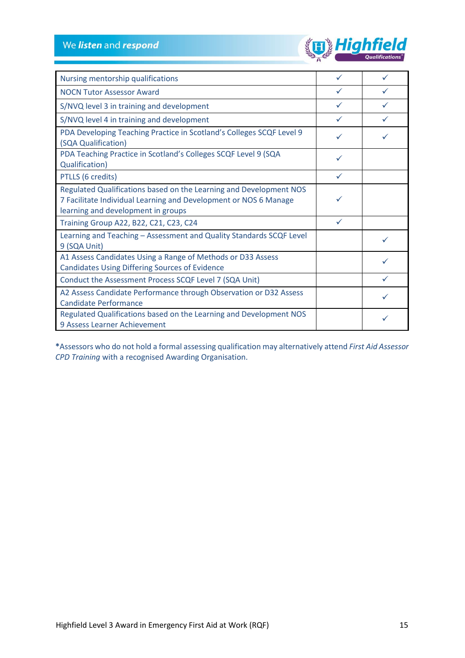

| Nursing mentorship qualifications                                                                                                                                            | ✓            |  |
|------------------------------------------------------------------------------------------------------------------------------------------------------------------------------|--------------|--|
| <b>NOCN Tutor Assessor Award</b>                                                                                                                                             | $\checkmark$ |  |
| S/NVQ level 3 in training and development                                                                                                                                    | $\checkmark$ |  |
| S/NVQ level 4 in training and development                                                                                                                                    | $\checkmark$ |  |
| PDA Developing Teaching Practice in Scotland's Colleges SCQF Level 9<br>(SQA Qualification)                                                                                  |              |  |
| PDA Teaching Practice in Scotland's Colleges SCQF Level 9 (SQA<br>Qualification)                                                                                             | ✓            |  |
| PTLLS (6 credits)                                                                                                                                                            | ✓            |  |
| Regulated Qualifications based on the Learning and Development NOS<br>7 Facilitate Individual Learning and Development or NOS 6 Manage<br>learning and development in groups |              |  |
| Training Group A22, B22, C21, C23, C24                                                                                                                                       | ✓            |  |
| Learning and Teaching - Assessment and Quality Standards SCQF Level<br>9 (SQA Unit)                                                                                          |              |  |
| A1 Assess Candidates Using a Range of Methods or D33 Assess<br><b>Candidates Using Differing Sources of Evidence</b>                                                         |              |  |
| Conduct the Assessment Process SCQF Level 7 (SQA Unit)                                                                                                                       |              |  |
| A2 Assess Candidate Performance through Observation or D32 Assess<br><b>Candidate Performance</b>                                                                            |              |  |
| Regulated Qualifications based on the Learning and Development NOS<br>9 Assess Learner Achievement                                                                           |              |  |

**\***Assessors who do not hold a formal assessing qualification may alternatively attend *First Aid Assessor CPD Training* with a recognised Awarding Organisation.